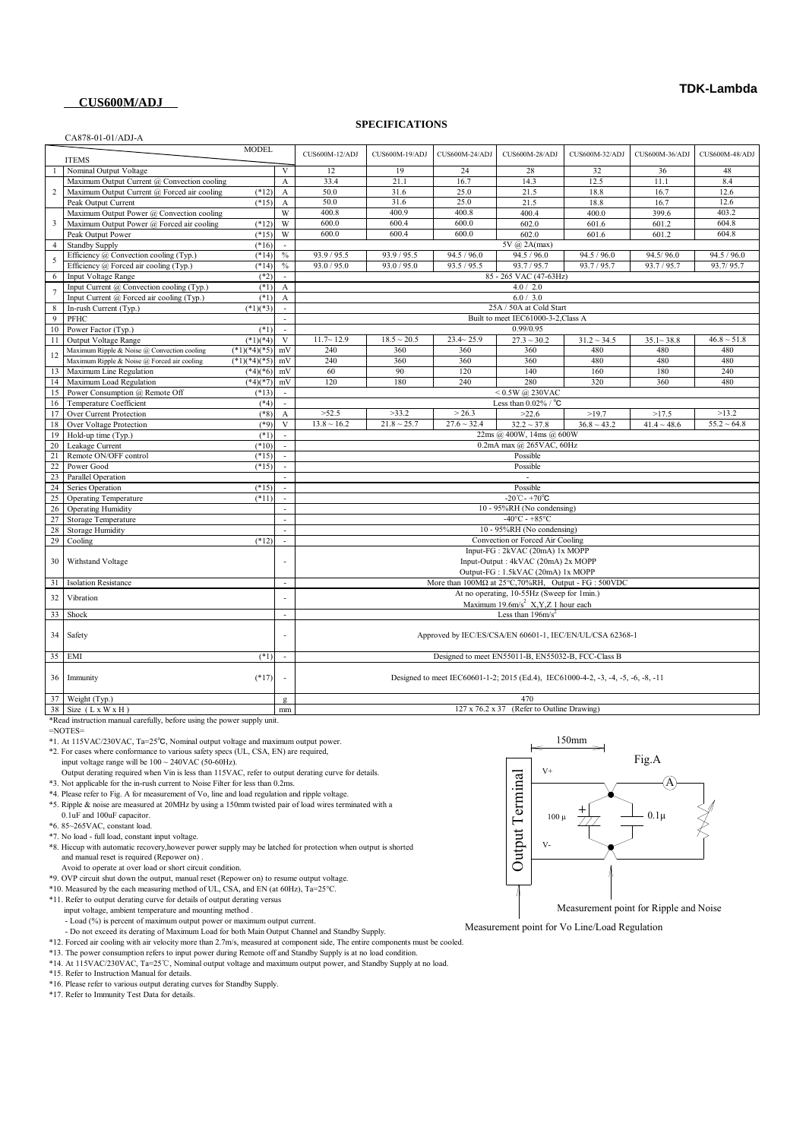### **CUS600M/ADJ**

CA878-01-01/ADJ-A

#### **SPECIFICATIONS**

|                         | 23070-01-01/3DJ-23                          | <b>MODEL</b>   |                             |                                                                                   |                  |                  |                                                                       |                  |                  |                  |
|-------------------------|---------------------------------------------|----------------|-----------------------------|-----------------------------------------------------------------------------------|------------------|------------------|-----------------------------------------------------------------------|------------------|------------------|------------------|
|                         | <b>ITEMS</b>                                |                |                             | CUS600M-12/ADJ                                                                    | CUS600M-19/ADJ   | CUS600M-24/ADJ   | CUS600M-28/ADJ                                                        | CUS600M-32/ADJ   | CUS600M-36/ADJ   | CUS600M-48/ADJ   |
|                         | Nominal Output Voltage                      |                | $\mathbf V$                 | 12                                                                                | 19               | 24               | 28                                                                    | 32               | 36               | 48               |
|                         | Maximum Output Current @ Convection cooling |                | $\mathbf A$                 | 33.4                                                                              | 21.1             | 16.7             | 14.3                                                                  | 12.5             | 11.1             | 8.4              |
| 2                       | Maximum Output Current @ Forced air cooling | $(*12)$        | $\boldsymbol{\mathsf{A}}$   | 50.0                                                                              | 31.6             | 25.0             | 21.5                                                                  | 18.8             | 16.7             | 12.6             |
|                         | Peak Output Current                         | $(*15)$        | $\boldsymbol{\rm{A}}$       | 50.0                                                                              | 31.6             | 25.0             | 21.5                                                                  | 18.8             | 16.7             | 12.6             |
|                         | Maximum Output Power @ Convection cooling   |                | W                           | 400.8                                                                             | 400.9            | 400.8            | 400.4                                                                 | 400.0            | 399.6            | 403.2            |
| $\overline{\mathbf{3}}$ | Maximum Output Power @ Forced air cooling   | $(*12)$        | W                           | 600.0                                                                             | 600.4            | 600.0            | 602.0                                                                 | 601.6            | 601.2            | 604.8            |
|                         | Peak Output Power                           | $(*15)$        | W                           | 600.0                                                                             | 600.4            | 600.0            | 602.0                                                                 | 601.6            | 601.2            | 604.8            |
| $\overline{4}$          | <b>Standby Supply</b>                       | $(*16)$        | $\sim$                      |                                                                                   |                  |                  | 5V @ 2A(max)                                                          |                  |                  |                  |
| 5                       | Efficiency @ Convection cooling (Typ.)      | $(*14)$        | $\%$                        | 93.9 / 95.5                                                                       | 93.9 / 95.5      | 94.5 / 96.0      | 94.5 / 96.0                                                           | 94.5 / 96.0      | 94.5/96.0        | 94.5 / 96.0      |
|                         | Efficiency @ Forced air cooling (Typ.)      | $(*14)$        | $\%$                        | 93.0 / 95.0                                                                       | 93.0 / 95.0      | 93.5 / 95.5      | 93.7/95.7                                                             | 93.7 / 95.7      | 93.7/95.7        | 93.7/95.7        |
| 6                       | Input Voltage Range                         | $(*2)$         |                             |                                                                                   |                  |                  | 85 - 265 VAC (47-63Hz)                                                |                  |                  |                  |
| $\overline{7}$          | Input Current @ Convection cooling (Typ.)   | $(*1)$         | $\boldsymbol{A}$            |                                                                                   |                  |                  | 4.0 / 2.0                                                             |                  |                  |                  |
|                         | Input Current @ Forced air cooling (Typ.)   | $(*1)$         | $\mathbf{A}$                |                                                                                   |                  |                  | 6.0 / 3.0                                                             |                  |                  |                  |
| 8                       | In-rush Current (Typ.)                      | $(*1)(*3)$     | $\mathcal{L}_{\mathcal{A}}$ |                                                                                   |                  |                  | 25A / 50A at Cold Start                                               |                  |                  |                  |
| 9                       | PFHC                                        |                | $\mathcal{L}$               |                                                                                   |                  |                  | Built to meet IEC61000-3-2, Class A                                   |                  |                  |                  |
| 10                      | Power Factor (Typ.)                         | $(*1)$         | $\mathcal{L}_{\mathcal{A}}$ |                                                                                   |                  |                  | 0.99/0.95                                                             |                  |                  |                  |
| 11                      | Output Voltage Range                        | $(*1)(*4)$     | V                           | $11.7 - 12.9$                                                                     | $18.5 \sim 20.5$ | $23.4 - 25.9$    | $27.3 \sim 30.2$                                                      | $31.2 \sim 34.5$ | $35.1 - 38.8$    | $46.8 \sim 51.8$ |
| 12                      | Maximum Ripple & Noise @ Convection cooling | $(*1)(*4)(*5)$ | mV                          | 240                                                                               | 360              | 360              | 360                                                                   | 480              | 480              | 480              |
|                         | Maximum Ripple & Noise @ Forced air cooling | $(*1)(*4)(*5)$ | mV                          | 240                                                                               | 360              | 360              | 360                                                                   | 480              | 480              | 480              |
| 13                      | Maximum Line Regulation                     | $(*4)(*6)$     | mV                          | 60                                                                                | 90               | 120              | 140                                                                   | 160              | 180              | 240              |
| 14                      | Maximum Load Regulation                     | $(*4)(*7)$     | mV                          | 120                                                                               | 180              | 240              | 280                                                                   | 320              | 360              | 480              |
| 15                      | Power Consumption @ Remote Off              | $(*13)$        | $\sim$                      | $< 0.5W$ @ 230VAC                                                                 |                  |                  |                                                                       |                  |                  |                  |
| 16                      | Temperature Coefficient                     | $(*4)$         | $\mathcal{L}_{\mathcal{A}}$ |                                                                                   |                  |                  | Less than $0.02\%$ / $^{\circ}$ C                                     |                  |                  |                  |
| 17                      | Over Current Protection                     | $(*8)$         | $\mathbf{A}$                | >52.5                                                                             | >33.2            | > 26.3           | >22.6                                                                 | >19.7            | >17.5            | >13.2            |
| 18                      | Over Voltage Protection                     | $(*9)$         | $\mathbf{V}$                | $13.8 \sim 16.2$                                                                  | $21.8 \sim 25.7$ | $27.6 \sim 32.4$ | $32.2 \sim 37.8$                                                      | $36.8 \sim 43.2$ | $41.4 \sim 48.6$ | $55.2 \sim 64.8$ |
| 19                      | Hold-up time (Typ.)                         | $(*1)$         | $\sim$                      | 22ms @ 400W, 14ms @ 600W                                                          |                  |                  |                                                                       |                  |                  |                  |
| 20                      | Leakage Current                             | $(*10)$        | $\mathbb{Z}^2$              | 0.2mA max @ 265VAC, 60Hz                                                          |                  |                  |                                                                       |                  |                  |                  |
| 21                      | Remote ON/OFF control                       | $(*15)$        | $\mathbb{Z}^2$              | Possible                                                                          |                  |                  |                                                                       |                  |                  |                  |
| 22                      | Power Good                                  | $(*15)$        | $\mathcal{L}$               |                                                                                   |                  |                  | Possible                                                              |                  |                  |                  |
| 23                      | Parallel Operation                          |                | $\mathcal{L}$               |                                                                                   |                  |                  | $\overline{a}$                                                        |                  |                  |                  |
| 24                      | Series Operation                            | $(*15)$        | $\sim$                      |                                                                                   |                  |                  | Possible                                                              |                  |                  |                  |
| 25                      | <b>Operating Temperature</b>                | $(*11)$        | $\mathcal{L}_{\mathcal{A}}$ |                                                                                   |                  |                  | $-20^{\circ}$ C - +70 $^{\circ}$ C                                    |                  |                  |                  |
|                         | 26 Operating Humidity                       |                | $\sim$                      |                                                                                   |                  |                  | 10 - 95%RH (No condensing)                                            |                  |                  |                  |
| 27                      | <b>Storage Temperature</b>                  |                | $\sim$                      |                                                                                   |                  |                  | $-40^{\circ}$ C - +85°C                                               |                  |                  |                  |
| 28                      | <b>Storage Humidity</b>                     |                | $\sim$                      |                                                                                   |                  |                  | 10 - 95%RH (No condensing)                                            |                  |                  |                  |
| 29                      | Cooling                                     | $(*12)$        | $\overline{a}$              |                                                                                   |                  |                  | Convection or Forced Air Cooling                                      |                  |                  |                  |
|                         |                                             |                |                             |                                                                                   |                  |                  | Input-FG: 2kVAC (20mA) 1x MOPP                                        |                  |                  |                  |
| 30                      | Withstand Voltage                           |                |                             | Input-Output: 4kVAC (20mA) 2x MOPP                                                |                  |                  |                                                                       |                  |                  |                  |
|                         |                                             |                |                             |                                                                                   |                  |                  | Output-FG: 1.5kVAC (20mA) 1x MOPP                                     |                  |                  |                  |
| 31                      | <b>Isolation Resistance</b>                 |                |                             |                                                                                   |                  |                  | More than $100M\Omega$ at $25^{\circ}$ C, 70%RH, Output - FG : 500VDC |                  |                  |                  |
| 32                      | Vibration                                   |                |                             |                                                                                   |                  |                  | At no operating, 10-55Hz (Sweep for 1min.)                            |                  |                  |                  |
|                         |                                             |                |                             |                                                                                   |                  |                  | Maximum 19.6m/s <sup>2</sup> X,Y,Z 1 hour each                        |                  |                  |                  |
| 33                      | Shock                                       |                | L,                          |                                                                                   |                  |                  | Less than $196m/s^2$                                                  |                  |                  |                  |
|                         |                                             |                |                             |                                                                                   |                  |                  |                                                                       |                  |                  |                  |
| 34                      | Safety                                      |                |                             | Approved by IEC/ES/CSA/EN 60601-1, IEC/EN/UL/CSA 62368-1                          |                  |                  |                                                                       |                  |                  |                  |
|                         |                                             |                |                             |                                                                                   |                  |                  |                                                                       |                  |                  |                  |
|                         | 35 EMI                                      | $(*1)$         | $\overline{\phantom{a}}$    |                                                                                   |                  |                  | Designed to meet EN55011-B, EN55032-B, FCC-Class B                    |                  |                  |                  |
|                         |                                             |                |                             |                                                                                   |                  |                  |                                                                       |                  |                  |                  |
|                         | 36 Immunity                                 | $(*17)$        |                             | Designed to meet IEC60601-1-2; 2015 (Ed.4), IEC61000-4-2, -3, -4, -5, -6, -8, -11 |                  |                  |                                                                       |                  |                  |                  |
|                         | 37 Weight (Typ.)                            |                |                             |                                                                                   |                  |                  | 470                                                                   |                  |                  |                  |
|                         | $38$ Size $(LxWXH)$                         |                | g<br>mm                     | 127 x 76.2 x 37 (Refer to Outline Drawing)                                        |                  |                  |                                                                       |                  |                  |                  |
|                         |                                             |                |                             |                                                                                   |                  |                  |                                                                       |                  |                  |                  |

38 Size (L x W x H) mm<br>\*Read instruction manual carefully, before using the power supply unit.

=NOTES=

\*1. At 115VAC/230VAC, Ta=25℃, Nominal output voltage and maximum output power.

\*2. For cases where conformance to various safety specs (UL, CSA, EN) are required,

input voltage range will be 100 ~ 240VAC (50-60Hz). Output derating required when Vin is less than 115VAC, refer to output derating curve for details.

- \*3. Not applicable for the in-rush current to Noise Filter for less than 0.2ms.
- \*4. Please refer to Fig. A for measurement of Vo, line and load regulation and ripple voltage.
- \*5. Ripple & noise are measured at 20MHz by using a 150mm twisted pair of load wires terminated with a 0.1uF and 100uF capacitor.
- \*6. 85~265VAC, constant load.
- \*7. No load full load, constant input voltage.
- \*8. Hiccup with automatic recovery,however power supply may be latched for protection when output is shorted and manual reset is required (Repower on) .
- Avoid to operate at over load or short circuit condition.
- \*9. OVP circuit shut down the output, manual reset (Repower on) to resume output voltage.
- \*10. Measured by the each measuring method of UL, CSA, and EN (at 60Hz),  $T_a=25^{\circ}$ C.

\*11. Refer to output derating curve for details of output derating versus

input voltage, ambient temperature and mounting method .

- Load (%) is percent of maximum output power or maximum output current.

- Do not exceed its derating of Maximum Load for both Main Output Channel and Standby Supply.

\*12. Forced air cooling with air velocity more than 2.7m/s, measured at component side, The entire components must be cooled.

\*13. The power consumption refers to input power during Remote off and Standby Supply is at no load condition.<br>\*14. At 115VAC/230VAC, Ta=25°C, Nominal output voltage and maximum output power, and Standby Supply at no load.

\*16. Please refer to various output derating curves for Standby Supply.

\*17. Refer to Immunity Test Data for details.



Measurement point for Vo Line/Load Regulation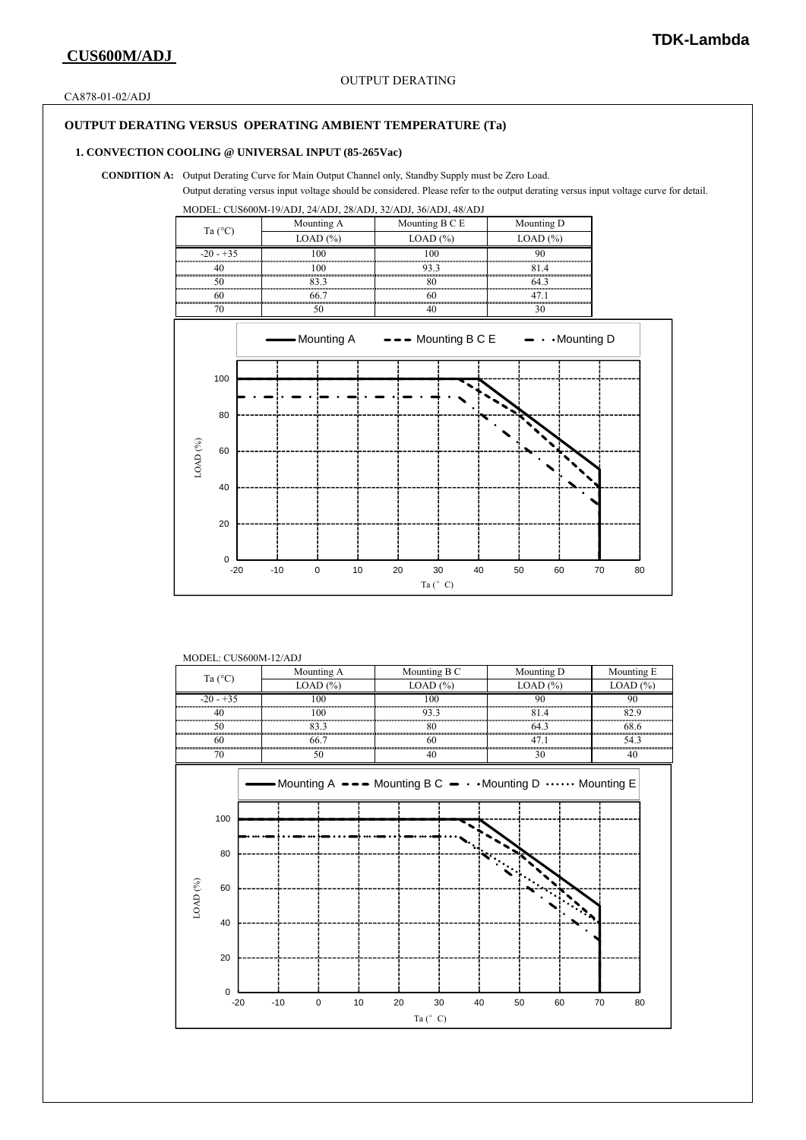CA878-01-02/ADJ

## **OUTPUT DERATING VERSUS OPERATING AMBIENT TEMPERATURE (Ta)**

#### **1. CONVECTION COOLING @ UNIVERSAL INPUT (85-265Vac)**

**CONDITION A:** Output Derating Curve for Main Output Channel only, Standby Supply must be Zero Load.

Output derating versus input voltage should be considered. Please refer to the output derating versus input voltage curve for detail.

MODEL: CUS600M-19/ADJ, 24/ADJ, 28/ADJ, 32/ADJ, 36/ADJ, 48/ADJ



#### MODEL: CUS600M-12/ADJ

| Ta $(^{\circ}C)$ |         |  |                                                      | Mounting A  |    |                                              | Mounting B C |    |                | Mounting D |                                    |            |      | Mounting E |  |
|------------------|---------|--|------------------------------------------------------|-------------|----|----------------------------------------------|--------------|----|----------------|------------|------------------------------------|------------|------|------------|--|
|                  |         |  |                                                      | LOAD (%)    |    |                                              | LOAD $(%)$   |    |                | LOAD $(%)$ |                                    | $LOAD$ $%$ |      |            |  |
| $-20 - +35$      |         |  | 100<br>100                                           |             |    | 100<br>,,,,,,,,,,,,,,,,,,,,,,,,,,,,,,,,,,,,, |              |    | 90             |            | 90<br>,,,,,,,,,,,,,,,,,,,,,,,,,,,, |            |      |            |  |
|                  | 40      |  |                                                      |             |    | 93.3                                         |              |    | 81.4           |            | 82.9                               |            |      |            |  |
|                  | 50      |  | 83.3                                                 |             |    | 80                                           |              |    | 64.3           |            |                                    | 68.6       |      |            |  |
|                  | 60      |  |                                                      | 66.7        |    |                                              | 60           |    |                | 47.1       |                                    |            | 54.3 |            |  |
|                  | 70      |  |                                                      | 50          |    |                                              | 40           |    |                | 30         |                                    |            | 40   |            |  |
|                  |         |  | Mounting A --- Mounting B C - Mounting D  Mounting E |             |    |                                              |              |    |                |            |                                    |            |      |            |  |
|                  | 100     |  |                                                      |             |    |                                              |              |    |                |            |                                    |            |      |            |  |
|                  | 80      |  |                                                      |             |    |                                              |              |    | All Sales Road |            |                                    |            |      |            |  |
| LOAD $(^{96})$   | 60      |  |                                                      |             |    |                                              |              |    |                |            |                                    |            |      |            |  |
|                  | 40      |  |                                                      |             |    |                                              |              |    |                |            |                                    |            |      |            |  |
|                  | 20      |  |                                                      |             |    |                                              |              |    |                |            |                                    |            |      |            |  |
|                  | 0       |  |                                                      |             |    |                                              |              |    |                |            |                                    |            |      |            |  |
|                  | $-20$   |  | $-10$                                                | $\mathbf 0$ | 10 | 20                                           |              | 30 | 40             | 50         | 60                                 |            | 70   | 80         |  |
|                  | Ta (°C) |  |                                                      |             |    |                                              |              |    |                |            |                                    |            |      |            |  |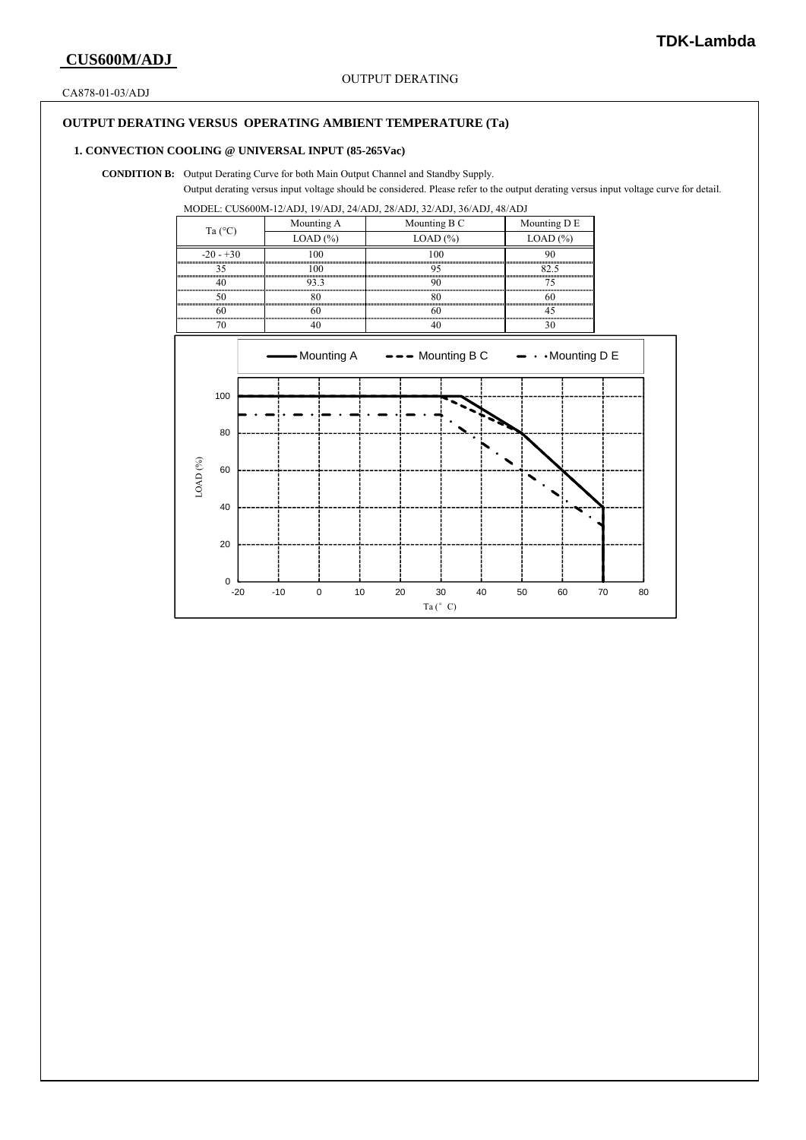CA878-01-03/ADJ

## **OUTPUT DERATING VERSUS OPERATING AMBIENT TEMPERATURE (Ta)**

## **1. CONVECTION COOLING @ UNIVERSAL INPUT (85-265Vac)**

**CONDITION B:** Output Derating Curve for both Main Output Channel and Standby Supply.

Output derating versus input voltage should be considered. Please refer to the output derating versus input voltage curve for detail.

MODEL: CUS600M-12/ADJ, 19/ADJ, 24/ADJ, 28/ADJ, 32/ADJ, 36/ADJ, 48/ADJ

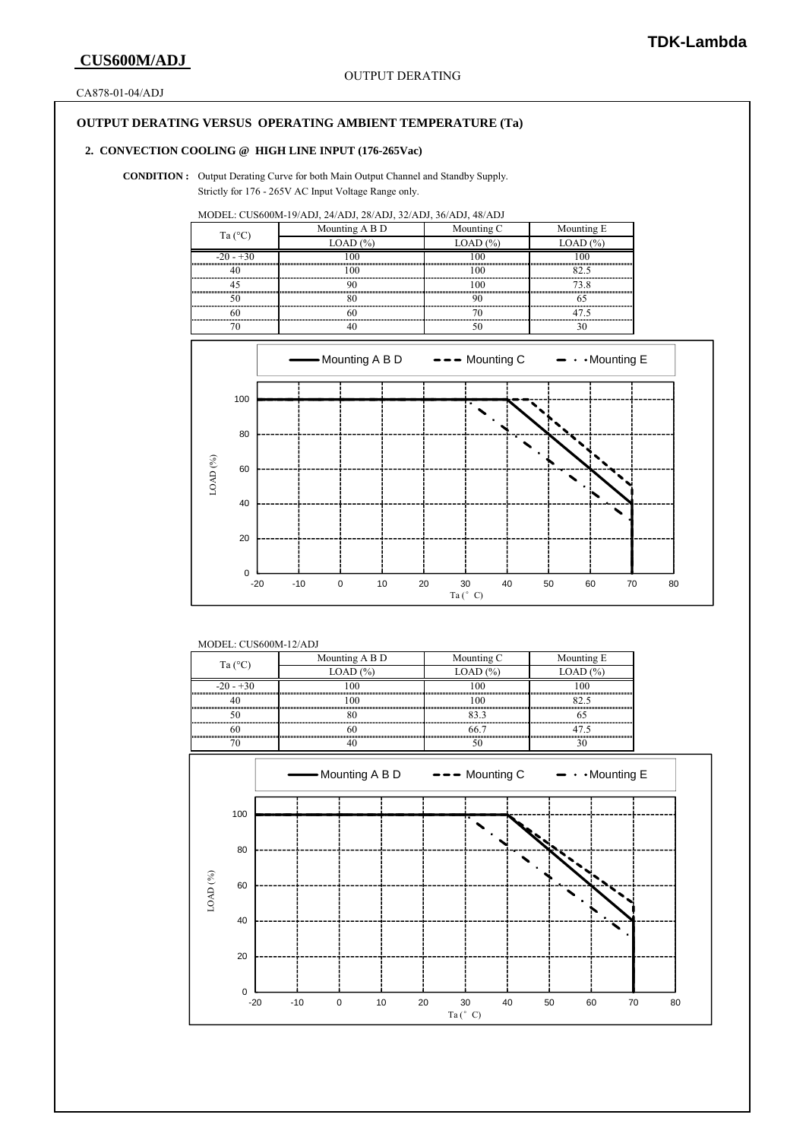CA878-01-04/ADJ

## **OUTPUT DERATING VERSUS OPERATING AMBIENT TEMPERATURE (Ta)**

## **2. CONVECTION COOLING @ HIGH LINE INPUT (176-265Vac)**

**CONDITION :** Output Derating Curve for both Main Output Channel and Standby Supply. Strictly for 176 - 265V AC Input Voltage Range only.

MODEL: CUS600M-19/ADJ, 24/ADJ, 28/ADJ, 32/ADJ, 36/ADJ, 48/ADJ

| Ta $(^{\circ}C)$ | Mounting A B D | Mounting C | Mounting E |  |  |
|------------------|----------------|------------|------------|--|--|
|                  | (0.04D)        | LUAD       | LOAD       |  |  |
| $-20 - 30$       |                |            |            |  |  |
|                  |                |            |            |  |  |
|                  |                |            |            |  |  |
|                  |                |            |            |  |  |
|                  |                |            |            |  |  |
|                  |                |            |            |  |  |



### MODEL: CUS600M-12/ADJ

| Ta (°C      | Mounting A B D | Mounting C | Mounting E |
|-------------|----------------|------------|------------|
|             |                |            |            |
| $-20 - +30$ |                |            |            |
|             |                |            |            |
|             |                |            |            |
|             |                |            |            |
|             |                |            |            |

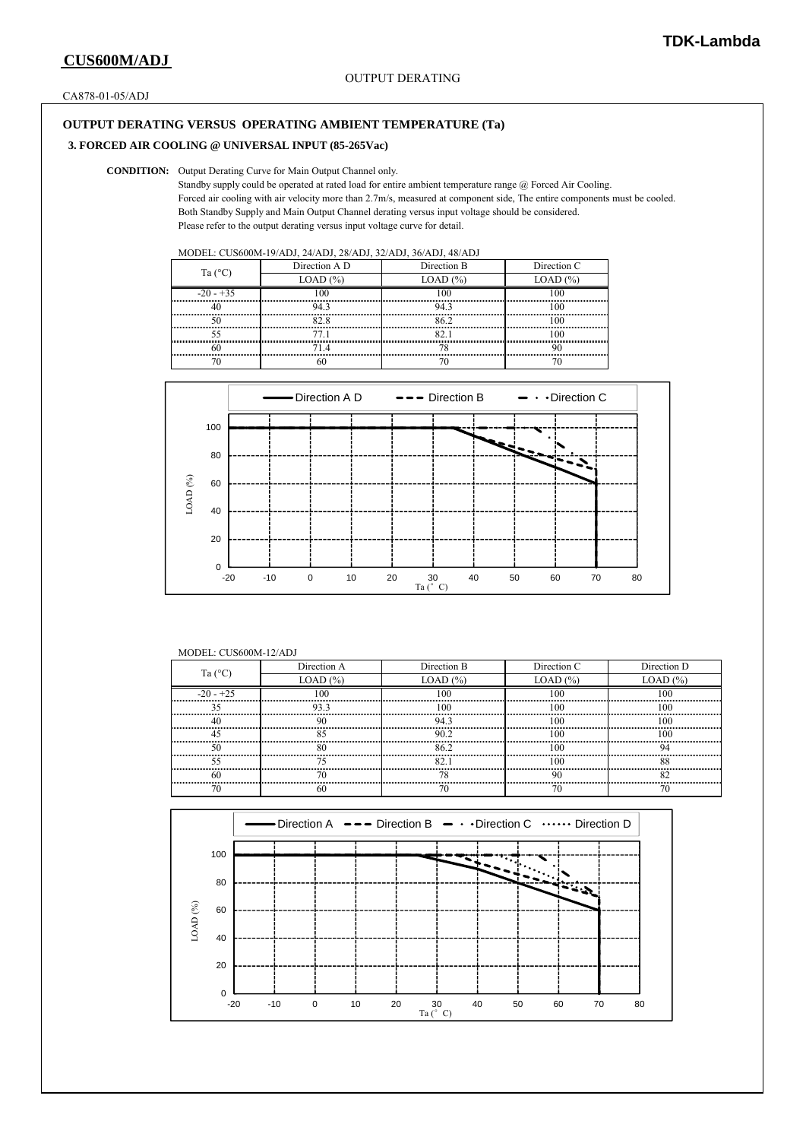CA878-01-05/ADJ

## **OUTPUT DERATING VERSUS OPERATING AMBIENT TEMPERATURE (Ta)**

## **3. FORCED AIR COOLING @ UNIVERSAL INPUT (85-265Vac)**

#### **CONDITION:** Output Derating Curve for Main Output Channel only.

 Standby supply could be operated at rated load for entire ambient temperature range @ Forced Air Cooling. Forced air cooling with air velocity more than 2.7m/s, measured at component side, The entire components must be cooled. Both Standby Supply and Main Output Channel derating versus input voltage should be considered. Please refer to the output derating versus input voltage curve for detail.

| Ta $(^{\circ}C)$ | Direction A D          | Direction B | Direction C |  |
|------------------|------------------------|-------------|-------------|--|
|                  | $1.0$ AD $\frac{6}{2}$ | 1 ( ) A 1 ) | LOAD        |  |
| $-20 - 35$       |                        |             |             |  |
|                  |                        |             |             |  |
|                  |                        |             |             |  |
|                  |                        |             |             |  |
|                  |                        |             |             |  |
|                  |                        |             |             |  |



#### MODEL: CUS600M-12/ADJ

| Ta $(^{\circ}C)$ | Direction A | Direction B | Direction C   | Direction D |
|------------------|-------------|-------------|---------------|-------------|
|                  | LOAD $(\%)$ | LOAD $(\%)$ | $LOAD$ $(\%)$ | LOAD (%     |
| $-20 - 75$       |             |             |               |             |
|                  |             |             |               |             |
|                  |             |             |               |             |
|                  |             |             |               |             |
|                  |             |             |               |             |
|                  |             |             |               |             |
|                  |             |             |               |             |
|                  |             |             |               |             |